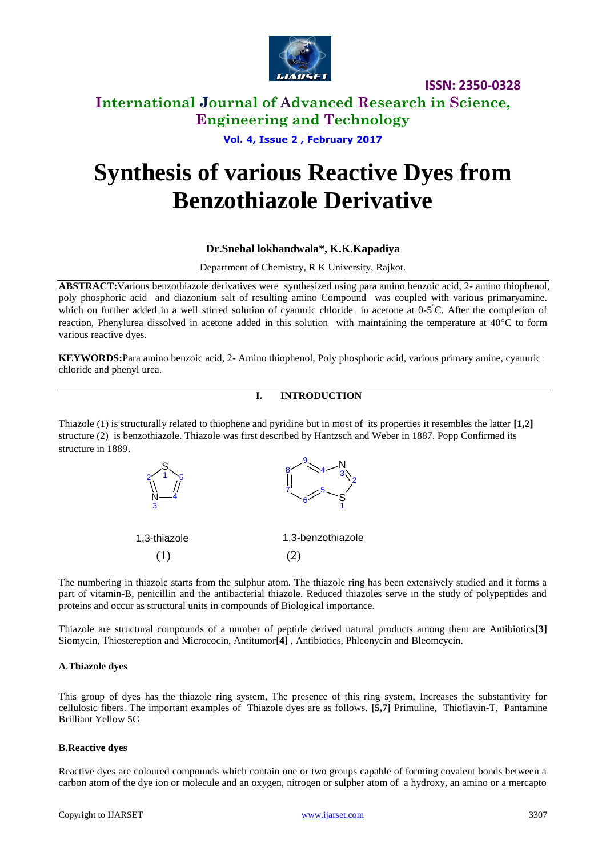

### **International Journal of Advanced Research in Science, Engineering and Technology**

**Vol. 4, Issue 2 , February 2017**

# **Synthesis of various Reactive Dyes from Benzothiazole Derivative**

#### **Dr.Snehal lokhandwala\*, K.K.Kapadiya**

Department of Chemistry, R K University, Rajkot.

**ABSTRACT:**Various benzothiazole derivatives were synthesized using para amino benzoic acid, 2- amino thiophenol, poly phosphoric acid and diazonium salt of resulting amino Compound was coupled with various primaryamine. which on further added in a well stirred solution of cyanuric chloride in acetone at 0-5°C. After the completion of reaction, Phenylurea dissolved in acetone added in this solution with maintaining the temperature at  $40^{\circ}$ C to form various reactive dyes.

**KEYWORDS:**Para amino benzoic acid, 2- Amino thiophenol, Poly phosphoric acid, various primary amine, cyanuric chloride and phenyl urea.

#### **I. INTRODUCTION**

Thiazole (1) is structurally related to thiophene and pyridine but in most of its properties it resembles the latter **[1,2]** structure (2) is benzothiazole. Thiazole was first described by Hantzsch and Weber in 1887. Popp Confirmed its structure in 1889.



The numbering in thiazole starts from the sulphur atom. The thiazole ring has been extensively studied and it forms a part of vitamin-B, penicillin and the antibacterial thiazole. Reduced thiazoles serve in the study of polypeptides and proteins and occur as structural units in compounds of Biological importance.

Thiazole are structural compounds of a number of peptide derived natural products among them are Antibiotics**[3]**  Siomycin, Thiostereption and Micrococin, Antitumor**[4]** , Antibiotics, Phleonycin and Bleomcycin.

#### **A***.***Thiazole dyes**

This group of dyes has the thiazole ring system, The presence of this ring system, Increases the substantivity for cellulosic fibers. The important examples of Thiazole dyes are as follows. **[5,7]** Primuline, Thioflavin-T, Pantamine Brilliant Yellow 5G

#### **B.Reactive dyes**

Reactive dyes are coloured compounds which contain one or two groups capable of forming covalent bonds between a carbon atom of the dye ion or molecule and an oxygen, nitrogen or sulpher atom of a hydroxy, an amino or a mercapto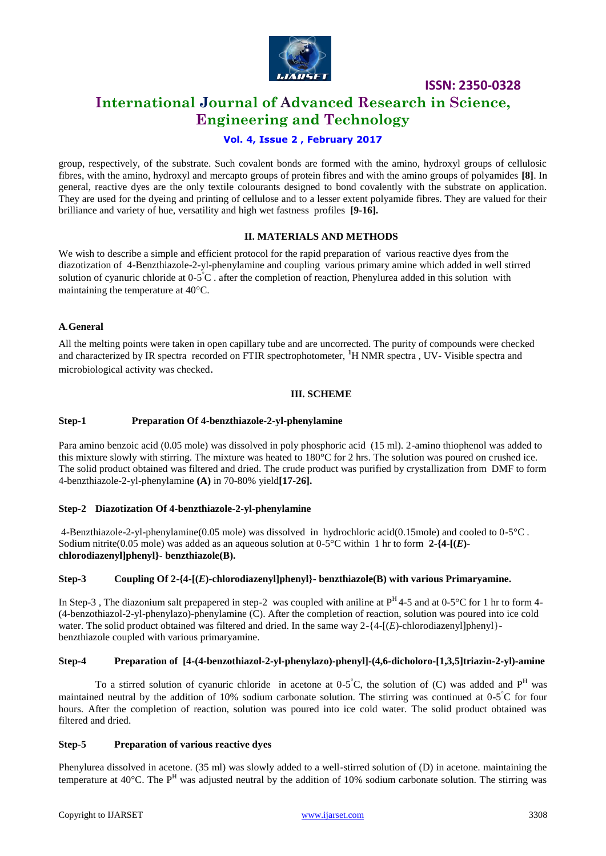

## **International Journal of Advanced Research in Science, Engineering and Technology**

#### **Vol. 4, Issue 2 , February 2017**

group, respectively, of the substrate. Such covalent bonds are formed with the amino, hydroxyl groups of cellulosic fibres, with the amino, hydroxyl and mercapto groups of protein fibres and with the amino groups of polyamides **[8]**. In general, reactive dyes are the only textile colourants designed to bond covalently with the substrate on application. They are used for the dyeing and printing of cellulose and to a lesser extent polyamide fibres. They are valued for their brilliance and variety of hue, versatility and high wet fastness profiles **[9-16].**

#### **II. MATERIALS AND METHODS**

We wish to describe a simple and efficient protocol for the rapid preparation of various reactive dyes from the diazotization of 4-Benzthiazole-2-yl-phenylamine and coupling various primary amine which added in well stirred solution of cyanuric chloride at  $0.5^{\circ}$ C. after the completion of reaction, Phenylurea added in this solution with maintaining the temperature at  $40^{\circ}$ C.

#### **A***.***General**

All the melting points were taken in open capillary tube and are uncorrected. The purity of compounds were checked and characterized by IR spectra recorded on FTIR spectrophotometer, **<sup>1</sup>**H NMR spectra , UV- Visible spectra and microbiological activity was checked.

#### **III. SCHEME**

#### **Step-1 Preparation Of 4-benzthiazole-2-yl-phenylamine**

Para amino benzoic acid (0.05 mole) was dissolved in poly phosphoric acid (15 ml). 2-amino thiophenol was added to this mixture slowly with stirring. The mixture was heated to 180°C for 2 hrs. The solution was poured on crushed ice. The solid product obtained was filtered and dried. The crude product was purified by crystallization from DMF to form 4-benzthiazole-2-yl-phenylamine **(A)** in 70-80% yield**[17-26].**

#### **Step-2 Diazotization Of 4-benzthiazole-2-yl-phenylamine**

4-Benzthiazole-2-yl-phenylamine(0.05 mole) was dissolved in hydrochloric acid(0.15mole) and cooled to 0-5°C . Sodium nitrite(0.05 mole) was added as an aqueous solution at 0-5°C within 1 hr to form **2-{4-[(***E***) chlorodiazenyl]phenyl}- benzthiazole(B).**

#### **Step-3 Coupling Of 2-{4-[(***E***)-chlorodiazenyl]phenyl}- benzthiazole(B) with various Primaryamine.**

In Step-3, The diazonium salt prepapered in step-2 was coupled with aniline at  $P<sup>H</sup>4-5$  and at 0-5°C for 1 hr to form 4-(4-benzothiazol-2-yl-phenylazo)-phenylamine (C). After the completion of reaction, solution was poured into ice cold water. The solid product obtained was filtered and dried. In the same way 2-{4-[(*E*)-chlorodiazenyl]phenyl}benzthiazole coupled with various primaryamine.

#### **Step-4 Preparation of [4-(4-benzothiazol-2-yl-phenylazo)-phenyl]-(4,6-dicholoro-[1,3,5]triazin-2-yl)-amine**

To a stirred solution of cyanuric chloride in acetone at 0-5°C, the solution of (C) was added and  $P<sup>H</sup>$  was maintained neutral by the addition of 10% sodium carbonate solution. The stirring was continued at  $0.5^{\circ}$ C for four hours. After the completion of reaction, solution was poured into ice cold water. The solid product obtained was filtered and dried.

#### **Step-5 Preparation of various reactive dyes**

Phenylurea dissolved in acetone. (35 ml) was slowly added to a well-stirred solution of (D) in acetone, maintaining the temperature at 40<sup>o</sup>C. The P<sup>H</sup> was adjusted neutral by the addition of 10% sodium carbonate solution. The stirring was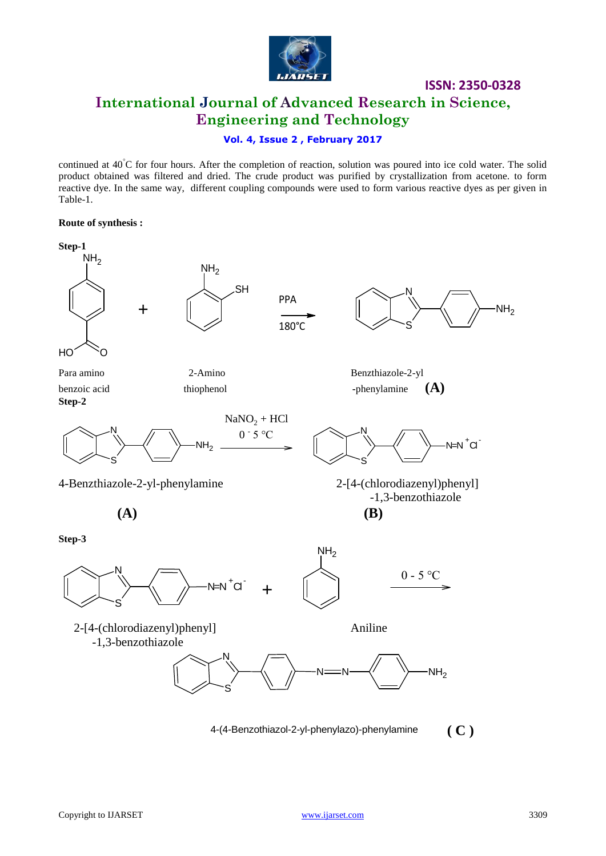

# **ISSN: 2350-0328 International Journal of Advanced Research in Science, Engineering and Technology**

#### **Vol. 4, Issue 2 , February 2017**

continued at  $40^{\circ}$ C for four hours. After the completion of reaction, solution was poured into ice cold water. The solid product obtained was filtered and dried. The crude product was purified by crystallization from acetone. to form reactive dye. In the same way, different coupling compounds were used to form various reactive dyes as per given in Table-1.

#### **Route of synthesis :**

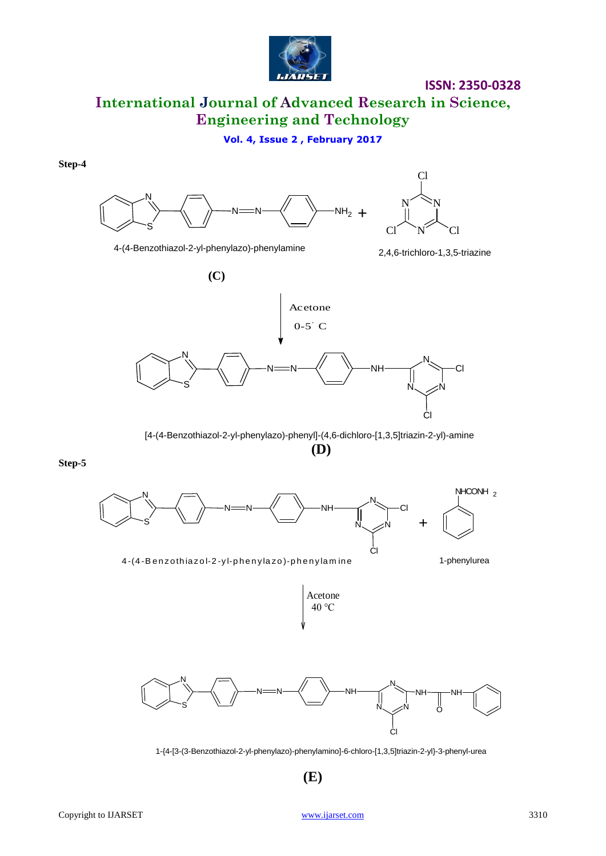

# **International Journal of Advanced Research in Science, Engineering and Technology**

**Vol. 4, Issue 2 , February 2017**

**Step-4**



2,4,6-trichloro-1,3,5-triazine 4-(4-Benzothiazol-2-yl-phenylazo)-phenylamine



[4-(4-Benzothiazol-2-yl-phenylazo)-phenyl]-(4,6-dichloro-[1,3,5]triazin-2-yl)-amine **(D)**

**Step-5**



4-(4-Benzothiazol-2-yl-phenylazo)-phenylamine 1-phenylurea





1-{4-[3-(3-Benzothiazol-2-yl-phenylazo)-phenylamino]-6-chloro-[1,3,5]triazin-2-yl}-3-phenyl-urea

 **(E)**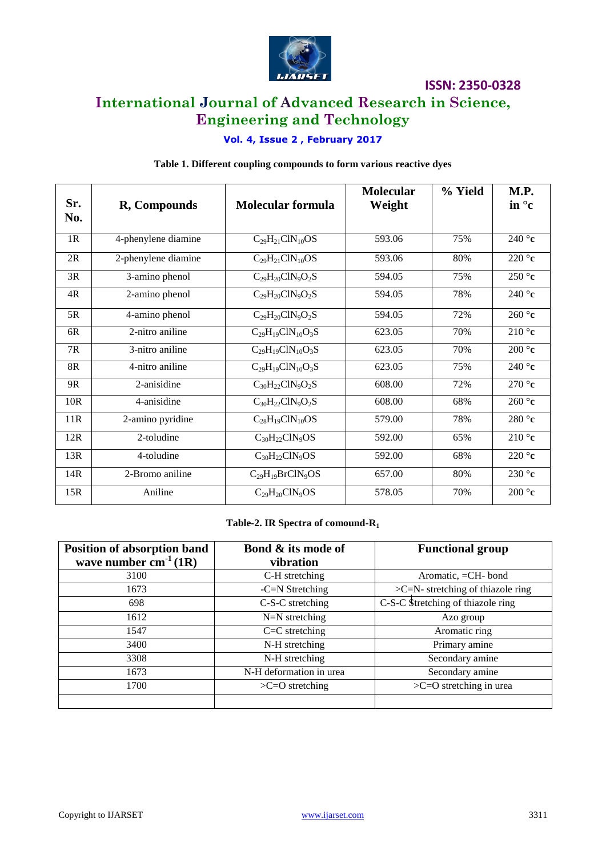

# **International Journal of Advanced Research in Science, Engineering and Technology**

### **Vol. 4, Issue 2 , February 2017**

#### **Table 1. Different coupling compounds to form various reactive dyes**

| Sr.<br>No. | R, Compounds              | <b>Molecular formula</b>   | <b>Molecular</b><br>Weight | % Yield | M.P.<br>in $\circ$ c |
|------------|---------------------------|----------------------------|----------------------------|---------|----------------------|
| 1R         | 4-phenylene diamine       | $C_{29}H_{21}CIN_{10}OS$   | 593.06                     | 75%     | 240 $^{\circ}$ c     |
| 2R         | 2-phenylene diamine       | $C_{29}H_{21}CIN_{10}OS$   | 593.06                     | 80%     | 220 $\degree$ c      |
| 3R         | 3-amino phenol            | $C_{29}H_{20}C1N_9O_2S$    | 594.05                     | 75%     | 250 $\degree$ c      |
| 4R         | 2-amino phenol            | $C_{29}H_{20}C1N_9O_2S$    | 594.05                     | 78%     | 240 $^{\circ}$ c     |
| 5R         | 4-amino phenol            | $C_{29}H_{20}CIN_9O_2S$    | 594.05                     | 72%     | 260 $\degree$ c      |
| 6R         | 2-nitro aniline           | $C_{29}H_{19}CIN_{10}O_3S$ | 623.05                     | 70%     | $210^{\circ}$ c      |
| 7R         | 3-nitro aniline           | $C_{29}H_{19}CIN_{10}O_3S$ | 623.05                     | 70%     | 200 $^{\circ}$ c     |
| 8R         | 4-nitro aniline           | $C_{29}H_{19}CIN_{10}O_3S$ | 623.05                     | 75%     | 240 $^{\circ}$ c     |
| 9R         | 2-anisidine               | $C_{30}H_{22}C1N_9O_2S$    | 608.00                     | 72%     | 270 $\degree$ c      |
| 10R        | $\overline{4}$ -anisidine | $C_{30}H_{22}C1N_9O_2S$    | 608.00                     | 68%     | 260°c                |
| 11R        | 2-amino pyridine          | $C_{28}H_{19}C1N_{10}OS$   | 579.00                     | 78%     | 280 $^{\circ}$ c     |
| 12R        | 2-toludine                | $C_{30}H_{22}CIN_9OS$      | 592.00                     | 65%     | 210 $\degree$ c      |
| 13R        | 4-toludine                | $C_{30}H_{22}CIN_9OS$      | 592.00                     | 68%     | 220 $^{\circ}$ c     |
| 14R        | 2-Bromo aniline           | $C_{29}H_{19}BrClN_9OS$    | 657.00                     | 80%     | $230^\circ c$        |
| 15R        | Aniline                   | $C_{29}H_{20}CIN_{9}OS$    | 578.05                     | 70%     | 200 $^{\circ}$ c     |

#### **Table-2. IR Spectra of comound-R<sup>1</sup>**

| Position of absorption band | Bond & its mode of      | <b>Functional group</b>              |
|-----------------------------|-------------------------|--------------------------------------|
| wave number $cm^{-1}(1R)$   | vibration               |                                      |
| 3100                        | C-H stretching          | Aromatic, =CH- bond                  |
| 1673                        | $-C=N$ Stretching       | $>C=N$ - stretching of thiazole ring |
| 698                         | C-S-C stretching        | C-S-C Stretching of thiazole ring    |
| 1612                        | $N=N$ stretching        | Azo group                            |
| 1547                        | $C=C$ stretching        | Aromatic ring                        |
| 3400                        | N-H stretching          | Primary amine                        |
| 3308                        | N-H stretching          | Secondary amine                      |
| 1673                        | N-H deformation in urea | Secondary amine                      |
| 1700                        | $>C=O$ stretching       | $>C=O$ stretching in urea            |
|                             |                         |                                      |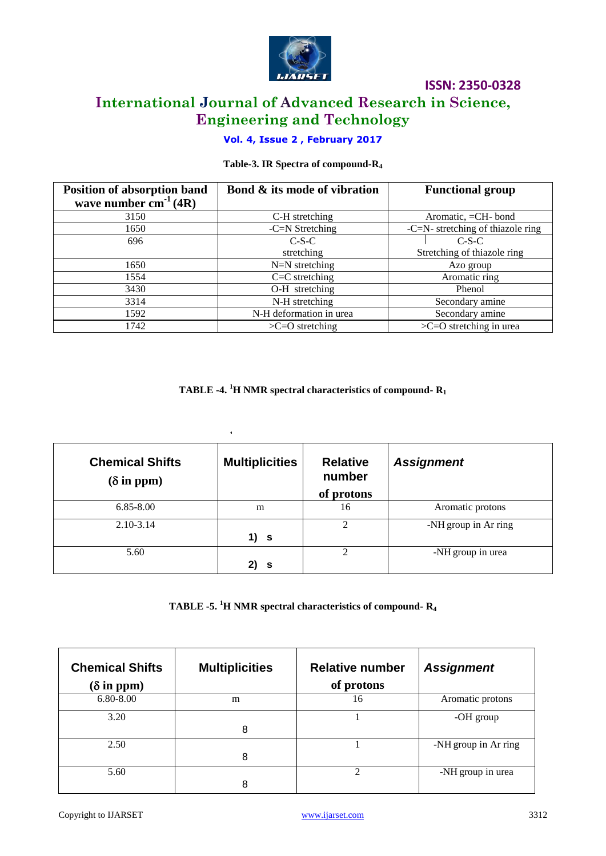

# **ISSN: 2350-0328 International Journal of Advanced Research in Science, Engineering and Technology**

### **Vol. 4, Issue 2 , February 2017**

### **Table-3. IR Spectra of compound-R<sup>4</sup>**

| Position of absorption band | Bond & its mode of vibration | <b>Functional group</b>              |
|-----------------------------|------------------------------|--------------------------------------|
| wave number $cm^{-1}(4R)$   |                              |                                      |
| 3150                        | C-H stretching               | Aromatic, =CH- bond                  |
| 1650                        | $-C=N$ Stretching            | $-C=N$ - stretching of thiazole ring |
| 696                         | $C-S-C$                      | $C-S-C$                              |
|                             | stretching                   | Stretching of thiazole ring          |
| 1650                        | $N=N$ stretching             | Azo group                            |
| 1554                        | $C=C$ stretching             | Aromatic ring                        |
| 3430                        | O-H stretching               | Phenol                               |
| 3314                        | N-H stretching               | Secondary amine                      |
| 1592                        | N-H deformation in urea      | Secondary amine                      |
| 1742                        | $>C=O$ stretching            | $>C=O$ stretching in urea            |

**TABLE -4. <sup>1</sup>H NMR spectral characteristics of compound- R<sup>1</sup>**

| <b>Chemical Shifts</b><br>$(\delta$ in ppm) | $\mathbf{r}$<br><b>Multiplicities</b> | <b>Relative</b><br>number<br>of protons | <b>Assignment</b>    |
|---------------------------------------------|---------------------------------------|-----------------------------------------|----------------------|
| $6.85 - 8.00$                               | m                                     | 16                                      | Aromatic protons     |
| 2.10-3.14                                   | $1)$ s                                | $\mathfrak{D}$                          | -NH group in Ar ring |
| 5.60                                        | 2) s                                  | $\mathfrak{D}$                          | -NH group in urea    |

|  | TABLE -5. ${}^{1}H$ NMR spectral characteristics of compound- $R_4$ |  |
|--|---------------------------------------------------------------------|--|
|--|---------------------------------------------------------------------|--|

| <b>Chemical Shifts</b><br>$(\delta$ in ppm) | <b>Multiplicities</b> | <b>Relative number</b><br>of protons | <b>Assignment</b>    |
|---------------------------------------------|-----------------------|--------------------------------------|----------------------|
| 6.80-8.00                                   | m                     | 16                                   | Aromatic protons     |
| 3.20                                        | 8                     |                                      | -OH group            |
| 2.50                                        | 8                     |                                      | -NH group in Ar ring |
| 5.60                                        | 8                     |                                      | -NH group in urea    |